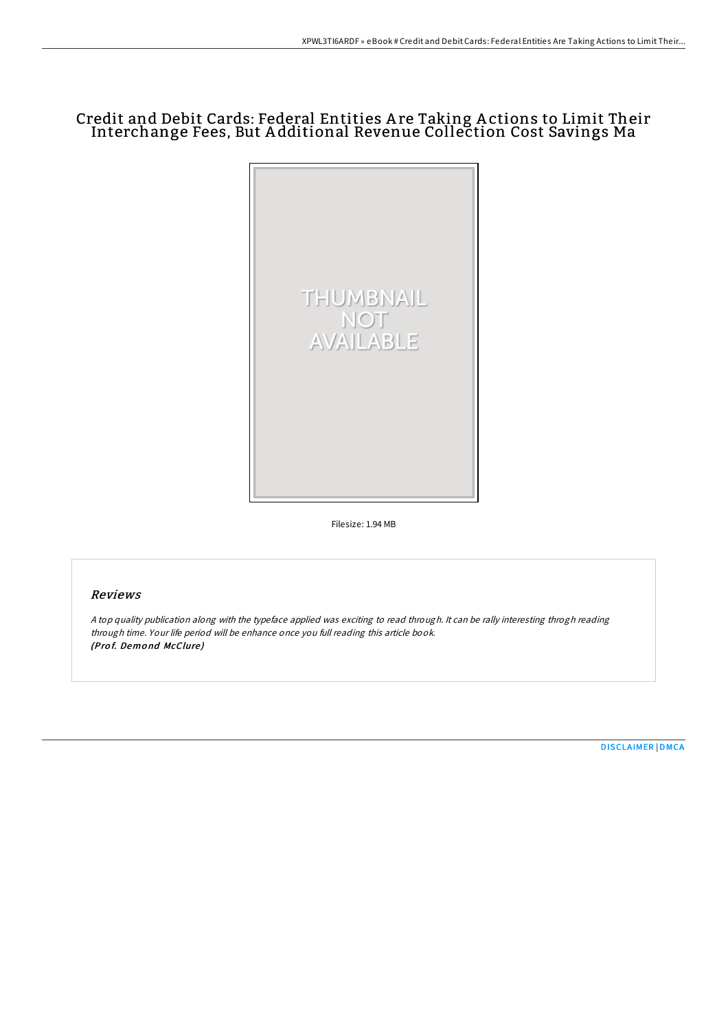# Credit and Debit Cards: Federal Entities A re Taking A ctions to Limit Their Interchange Fees, But A dditional Revenue Collection Cost Savings Ma



Filesize: 1.94 MB

# Reviews

<sup>A</sup> top quality publication along with the typeface applied was exciting to read through. It can be rally interesting throgh reading through time. Your life period will be enhance once you full reading this article book. (Prof. Demond McClure)

[DISCLAIMER](http://almighty24.tech/disclaimer.html) | [DMCA](http://almighty24.tech/dmca.html)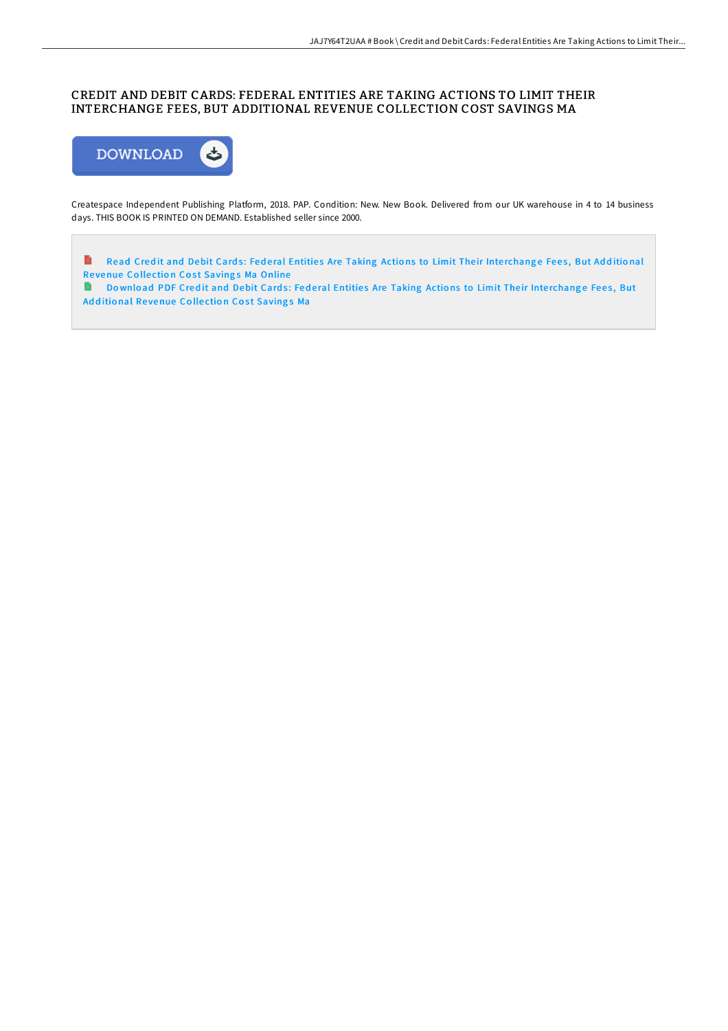# CREDIT AND DEBIT CARDS: FEDERAL ENTITIES ARE TAKING ACTIONS TO LIMIT THEIR INTERCHANGE FEES, BUT ADDITIONAL REVENUE COLLECTION COST SAVINGS MA



Createspace Independent Publishing Platform, 2018. PAP. Condition: New. New Book. Delivered from our UK warehouse in 4 to 14 business days. THIS BOOK IS PRINTED ON DEMAND. Established seller since 2000.

 $\qquad \qquad \blacksquare$ Read Credit and Debit Cards: Federal Entities Are Taking Actions to Limit Their Inte[rchang](http://almighty24.tech/credit-and-debit-cards-federal-entities-are-taki.html)e Fees, But Additional Revenue Collection Cost Savings Ma Online

Download PDF Credit and Debit Cards: Federal Entities Are Taking Actions to Limit Their Inte[rchang](http://almighty24.tech/credit-and-debit-cards-federal-entities-are-taki.html)e Fees, But Additional Revenue Collection Cost Savings Ma